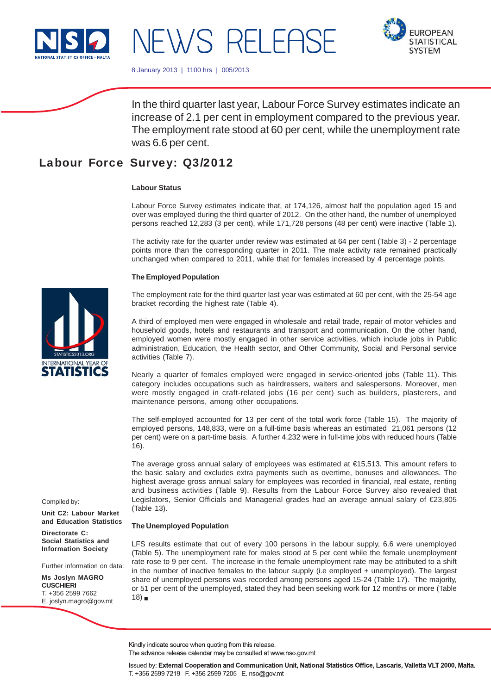

# NEWS RELEASE



8 January 2013 | 1100 hrs | 005/2013

In the third quarter last year, Labour Force Survey estimates indicate an increase of 2.1 per cent in employment compared to the previous year. The employment rate stood at 60 per cent, while the unemployment rate was 6.6 per cent.

# Labour Force Survey: Q3/2012

## **Labour Status**

Labour Force Survey estimates indicate that, at 174,126, almost half the population aged 15 and over was employed during the third quarter of 2012. On the other hand, the number of unemployed persons reached 12,283 (3 per cent), while 171,728 persons (48 per cent) were inactive (Table 1).

The activity rate for the quarter under review was estimated at 64 per cent (Table 3) - 2 percentage points more than the corresponding quarter in 2011. The male activity rate remained practically unchanged when compared to 2011, while that for females increased by 4 percentage points.

#### **The Employed Population**

The employment rate for the third quarter last year was estimated at 60 per cent, with the 25-54 age bracket recording the highest rate (Table 4).

A third of employed men were engaged in wholesale and retail trade, repair of motor vehicles and household goods, hotels and restaurants and transport and communication. On the other hand, employed women were mostly engaged in other service activities, which include jobs in Public administration, Education, the Health sector, and Other Community, Social and Personal service activities (Table 7).

Nearly a quarter of females employed were engaged in service-oriented jobs (Table 11). This category includes occupations such as hairdressers, waiters and salespersons. Moreover, men were mostly engaged in craft-related jobs (16 per cent) such as builders, plasterers, and maintenance persons, among other occupations.

The self-employed accounted for 13 per cent of the total work force (Table 15). The majority of employed persons, 148,833, were on a full-time basis whereas an estimated 21,061 persons (12 per cent) were on a part-time basis. A further 4,232 were in full-time jobs with reduced hours (Table 16).

The average gross annual salary of employees was estimated at €15,513. This amount refers to the basic salary and excludes extra payments such as overtime, bonuses and allowances. The highest average gross annual salary for employees was recorded in financial, real estate, renting and business activities (Table 9). Results from the Labour Force Survey also revealed that Legislators, Senior Officials and Managerial grades had an average annual salary of €23,805 (Table 13).

#### **The Unemployed Population**

LFS results estimate that out of every 100 persons in the labour supply, 6.6 were unemployed (Table 5). The unemployment rate for males stood at 5 per cent while the female unemployment rate rose to 9 per cent. The increase in the female unemployment rate may be attributed to a shift in the number of inactive females to the labour supply (i.e employed + unemployed). The largest share of unemployed persons was recorded among persons aged 15-24 (Table 17). The majority, or 51 per cent of the unemployed, stated they had been seeking work for 12 months or more (Table  $18$ )

Compiled by:

**Unit C2: Labour Market and Education Statistics**

**Directorate C: Social Statistics and Information Society**

Further information on data:

**Ms Joslyn MAGRO CUSCHIERI** T. +356 2599 7662 E. joslyn.magro@gov.mt

Kindly indicate source when quoting from this release.

The advance release calendar may be consulted at www.nso.gov.mt

Issued by: External Cooperation and Communication Unit, National Statistics Office, Lascaris, Valletta VLT 2000, Malta. T. +356 2599 7219 F. +356 2599 7205 E. nso@gov.mt

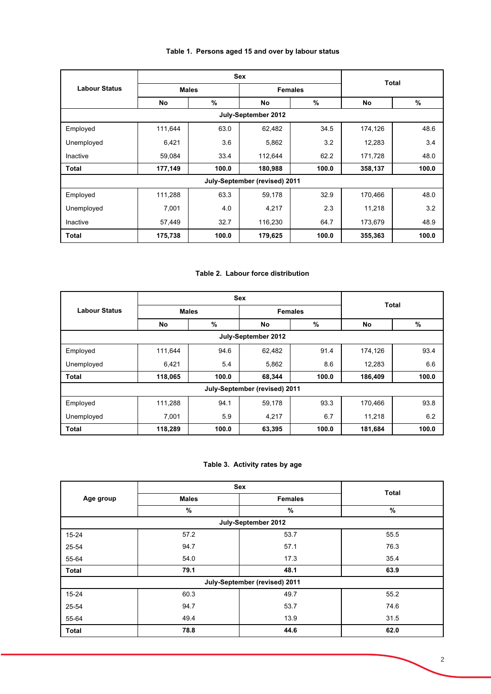# **Table 1. Persons aged 15 and over by labour status**

|                      |                                | <b>Sex</b> |                               | <b>Total</b> |           |               |  |
|----------------------|--------------------------------|------------|-------------------------------|--------------|-----------|---------------|--|
| <b>Labour Status</b> | <b>Males</b><br><b>Females</b> |            |                               |              |           |               |  |
|                      | No                             | $\%$       | No                            | $\%$         | <b>No</b> | $\frac{9}{6}$ |  |
|                      |                                |            | July-September 2012           |              |           |               |  |
| Employed             | 111,644                        | 63.0       | 62,482                        | 34.5         | 174,126   | 48.6          |  |
| Unemployed           | 6,421                          | 3.6        | 5,862                         | 3.2          | 12,283    | 3.4           |  |
| Inactive             | 59,084                         | 33.4       | 112,644                       | 62.2         | 171,728   | 48.0          |  |
| <b>Total</b>         | 177,149                        | 100.0      | 180,988                       | 100.0        | 358,137   | 100.0         |  |
|                      |                                |            | July-September (revised) 2011 |              |           |               |  |
| Employed             | 111,288                        | 63.3       | 59,178                        | 32.9         | 170,466   | 48.0          |  |
| Unemployed           | 7,001                          | 4.0        | 4,217                         | 2.3          | 11,218    | 3.2           |  |
| Inactive             | 57,449                         | 32.7       | 116,230                       | 64.7         | 173,679   | 48.9          |  |
| <b>Total</b>         | 175,738                        | 100.0      | 179,625                       | 100.0        | 355,363   | 100.0         |  |

## **Table 2. Labour force distribution**

|                      |              | <b>Sex</b> |                               | <b>Total</b> |           |       |  |
|----------------------|--------------|------------|-------------------------------|--------------|-----------|-------|--|
| <b>Labour Status</b> | <b>Males</b> |            | <b>Females</b>                |              |           |       |  |
|                      | No           | %          | No                            | %            | <b>No</b> | %     |  |
|                      |              |            | July-September 2012           |              |           |       |  |
| Employed             | 111,644      | 94.6       | 62,482                        | 91.4         | 174,126   | 93.4  |  |
| Unemployed           | 6,421        | 5.4        | 5,862                         | 8.6          | 12,283    | 6.6   |  |
| <b>Total</b>         | 118,065      | 100.0      | 68,344                        | 100.0        | 186,409   | 100.0 |  |
|                      |              |            | July-September (revised) 2011 |              |           |       |  |
| Employed             | 111,288      | 94.1       | 59,178                        | 93.3         | 170,466   | 93.8  |  |
| Unemployed           | 7,001        | 5.9        | 4,217                         | 6.7          | 11,218    | 6.2   |  |
| <b>Total</b>         | 118,289      | 100.0      | 63,395                        | 100.0        | 181,684   | 100.0 |  |

# **Table 3. Activity rates by age**

|              |              | Sex                           | <b>Total</b>  |
|--------------|--------------|-------------------------------|---------------|
| Age group    | <b>Males</b> | <b>Females</b>                |               |
|              | $\%$         | %                             | $\frac{0}{0}$ |
|              |              | July-September 2012           |               |
| 15-24        | 57.2         | 53.7                          | 55.5          |
| 25-54        | 94.7         | 57.1                          | 76.3          |
| 55-64        | 54.0         | 17.3                          | 35.4          |
| <b>Total</b> | 79.1         | 48.1                          | 63.9          |
|              |              | July-September (revised) 2011 |               |
| 15-24        | 60.3         | 49.7                          | 55.2          |
| 25-54        | 94.7         | 53.7                          | 74.6          |
| 55-64        | 49.4         | 13.9                          | 31.5          |
| <b>Total</b> | 78.8         | 44.6                          | 62.0          |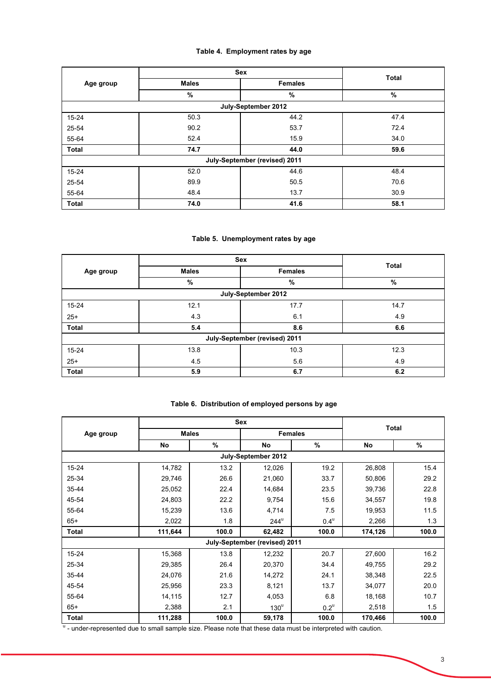# **Table 4. Employment rates by age**

|              |              | Sex                           | <b>Total</b> |
|--------------|--------------|-------------------------------|--------------|
| Age group    | <b>Males</b> | <b>Females</b>                |              |
|              | %            | %                             | %            |
|              |              | July-September 2012           |              |
| $15 - 24$    | 50.3         | 44.2                          | 47.4         |
| 25-54        | 90.2         | 53.7                          | 72.4         |
| 55-64        | 52.4         | 15.9                          | 34.0         |
| <b>Total</b> | 74.7         | 44.0                          | 59.6         |
|              |              | July-September (revised) 2011 |              |
| $15 - 24$    | 52.0         | 44.6                          | 48.4         |
| 25-54        | 89.9         | 50.5                          | 70.6         |
| 55-64        | 48.4         | 13.7                          | 30.9         |
| <b>Total</b> | 74.0         | 41.6                          | 58.1         |

# **Table 5. Unemployment rates by age**

|              |              | <b>Sex</b>                    | <b>Total</b> |
|--------------|--------------|-------------------------------|--------------|
| Age group    | <b>Males</b> | <b>Females</b>                |              |
|              | %            | %                             | %            |
|              |              | July-September 2012           |              |
| 15-24        | 12.1         | 17.7                          | 14.7         |
| $25+$        | 4.3          | 6.1                           | 4.9          |
| <b>Total</b> | 5.4          | 8.6                           | 6.6          |
|              |              | July-September (revised) 2011 |              |
| $15 - 24$    | 13.8         | 10.3                          | 12.3         |
| $25+$        | 4.5          | 5.6                           | 4.9          |
| <b>Total</b> | 5.9          | 6.7                           | 6.2          |

# **Table 6. Distribution of employed persons by age**

|              |         |              | Sex                           |                    |              |       |
|--------------|---------|--------------|-------------------------------|--------------------|--------------|-------|
| Age group    |         | <b>Males</b> |                               | <b>Females</b>     | <b>Total</b> |       |
|              | No      | $\%$         | No                            | %                  | No           | %     |
|              |         |              | July-September 2012           |                    |              |       |
| $15 - 24$    | 14,782  | 13.2         | 12,026                        | 19.2               | 26,808       | 15.4  |
| 25-34        | 29,746  | 26.6         | 21,060                        | 33.7               | 50,806       | 29.2  |
| $35 - 44$    | 25,052  | 22.4         | 14,684                        | 23.5               | 39,736       | 22.8  |
| 45-54        | 24,803  | 22.2         | 9,754                         | 15.6               | 34,557       | 19.8  |
| 55-64        | 15,239  | 13.6         | 4,714                         | 7.5                | 19,953       | 11.5  |
| $65+$        | 2,022   | 1.8          | $244^u$                       | $0.4^{\text{u}}$   | 2,266        | 1.3   |
| <b>Total</b> | 111,644 | 100.0        | 62,482                        | 100.0              | 174,126      | 100.0 |
|              |         |              | July-September (revised) 2011 |                    |              |       |
| $15 - 24$    | 15,368  | 13.8         | 12,232                        | 20.7               | 27,600       | 16.2  |
| 25-34        | 29,385  | 26.4         | 20,370                        | 34.4               | 49,755       | 29.2  |
| 35-44        | 24,076  | 21.6         | 14,272                        | 24.1               | 38,348       | 22.5  |
| 45-54        | 25,956  | 23.3         | 8,121                         | 13.7               | 34,077       | 20.0  |
| 55-64        | 14,115  | 12.7         | 4,053                         | 6.8                | 18,168       | 10.7  |
| $65+$        | 2,388   | 2.1          | $130^u$                       | $0.2^{\mathrm{u}}$ | 2,518        | 1.5   |
| <b>Total</b> | 111,288 | 100.0        | 59,178                        | 100.0              | 170,466      | 100.0 |

<sup>u</sup> - under-represented due to small sample size. Please note that these data must be interpreted with caution.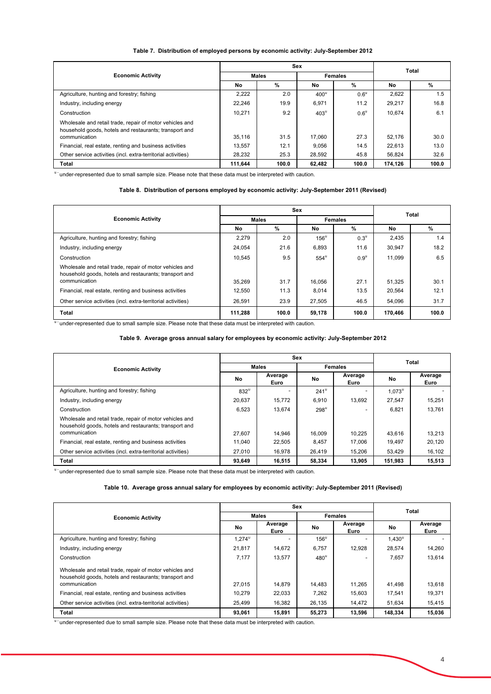#### **Table 7. Distribution of employed persons by economic activity: July-September 2012**

|                                                                                                                    |              | Sex   |                | <b>Total</b>       |         |       |
|--------------------------------------------------------------------------------------------------------------------|--------------|-------|----------------|--------------------|---------|-------|
| <b>Economic Activity</b>                                                                                           | <b>Males</b> |       | <b>Females</b> |                    |         |       |
|                                                                                                                    | No           | %     | No             | $\%$               | No      | %     |
| Agriculture, hunting and forestry; fishing                                                                         | 2,222        | 2.0   | $400^{\circ}$  | $0.6^{\mathrm{u}}$ | 2,622   | 1.5   |
| Industry, including energy                                                                                         | 22.246       | 19.9  | 6,971          | 11.2               | 29.217  | 16.8  |
| Construction                                                                                                       | 10.271       | 9.2   | $403^{\circ}$  | $0.6^{\mathrm{u}}$ | 10.674  | 6.1   |
| Wholesale and retail trade, repair of motor vehicles and<br>household goods, hotels and restaurants; transport and |              |       |                |                    |         |       |
| communication                                                                                                      | 35.116       | 31.5  | 17.060         | 27.3               | 52.176  | 30.0  |
| Financial, real estate, renting and business activities                                                            | 13.557       | 12.1  | 9.056          | 14.5               | 22.613  | 13.0  |
| Other service activities (incl. extra-territorial activities)                                                      | 28.232       | 25.3  | 28.592         | 45.8               | 56.824  | 32.6  |
| Total                                                                                                              | 111.644      | 100.0 | 62,482         | 100.0              | 174,126 | 100.0 |

" under-represented due to small sample size. Please note that these data must be interpreted with caution.

#### **Table 8. Distribution of persons employed by economic activity: July-September 2011 (Revised)**

|                                                                                                                    |         | Sex   | <b>Total</b>  |                    |         |       |
|--------------------------------------------------------------------------------------------------------------------|---------|-------|---------------|--------------------|---------|-------|
| <b>Economic Activity</b>                                                                                           | Males   |       |               | <b>Females</b>     |         |       |
|                                                                                                                    | No      | %     | No            | $\%$               | No      | %     |
| Agriculture, hunting and forestry; fishing                                                                         | 2.279   | 2.0   | $156^{\circ}$ | $0.3^{\mathrm{u}}$ | 2,435   | 1.4   |
| Industry, including energy                                                                                         | 24,054  | 21.6  | 6,893         | 11.6               | 30,947  | 18.2  |
| Construction                                                                                                       | 10.545  | 9.5   | $554^{\circ}$ | $0.9^{\mathrm{u}}$ | 11.099  | 6.5   |
| Wholesale and retail trade, repair of motor vehicles and<br>household goods, hotels and restaurants; transport and |         |       |               |                    |         |       |
| communication                                                                                                      | 35.269  | 31.7  | 16.056        | 27.1               | 51,325  | 30.1  |
| Financial, real estate, renting and business activities                                                            | 12.550  | 11.3  | 8.014         | 13.5               | 20,564  | 12.1  |
| Other service activities (incl. extra-territorial activities)                                                      | 26,591  | 23.9  | 27.505        | 46.5               | 54,096  | 31.7  |
| <b>Total</b>                                                                                                       | 111.288 | 100.0 | 59,178        | 100.0              | 170.466 | 100.0 |

u - under-represented due to small sample size. Please note that these data must be interpreted with caution.

#### **Table 9. Average gross annual salary for employees by economic activity: July-September 2012**

|                                                                                                                    |                    | Sex             | Total              |                 |                      |                 |
|--------------------------------------------------------------------------------------------------------------------|--------------------|-----------------|--------------------|-----------------|----------------------|-----------------|
| <b>Economic Activity</b>                                                                                           | <b>Males</b>       |                 |                    |                 | <b>Females</b>       |                 |
|                                                                                                                    | No                 | Average<br>Euro | <b>No</b>          | Average<br>Euro | No.                  | Average<br>Euro |
| Agriculture, hunting and forestry; fishing                                                                         | $832^{\mathrm{u}}$ |                 | $241^{\mathrm{u}}$ |                 | $1.073^{\mathrm{u}}$ |                 |
| Industry, including energy                                                                                         | 20.637             | 15.772          | 6.910              | 13.692          | 27.547               | 15.251          |
| Construction                                                                                                       | 6.523              | 13.674          | $298^{\mathrm{u}}$ |                 | 6.821                | 13.761          |
| Wholesale and retail trade, repair of motor vehicles and<br>household goods, hotels and restaurants; transport and |                    |                 |                    |                 |                      |                 |
| communication                                                                                                      | 27.607             | 14.946          | 16.009             | 10.225          | 43.616               | 13.213          |
| Financial, real estate, renting and business activities                                                            | 11.040             | 22,505          | 8.457              | 17.006          | 19.497               | 20,120          |
| Other service activities (incl. extra-territorial activities)                                                      | 27.010             | 16,978          | 26.419             | 15.206          | 53.429               | 16,102          |
| Total                                                                                                              | 93.649             | 16.515          | 58.334             | 13.905          | 151.983              | 15.513          |

" under-represented due to small sample size. Please note that these data must be interpreted with caution.

#### **Table 10. Average gross annual salary for employees by economic activity: July-September 2011 (Revised)**

|                                                                                                                    |                      | Sex             |               | <b>Total</b>    |           |                 |
|--------------------------------------------------------------------------------------------------------------------|----------------------|-----------------|---------------|-----------------|-----------|-----------------|
| <b>Economic Activity</b>                                                                                           |                      | <b>Males</b>    |               |                 |           | <b>Females</b>  |
|                                                                                                                    | No                   | Average<br>Euro | <b>No</b>     | Average<br>Euro | No        | Average<br>Euro |
| Agriculture, hunting and forestry; fishing                                                                         | $1.274^{\mathrm{u}}$ |                 | $156^{\circ}$ |                 | $1.430^u$ |                 |
| Industry, including energy                                                                                         | 21.817               | 14,672          | 6,757         | 12.928          | 28.574    | 14,260          |
| Construction                                                                                                       | 7,177                | 13,577          | $480^{\circ}$ |                 | 7.657     | 13.614          |
| Wholesale and retail trade, repair of motor vehicles and<br>household goods, hotels and restaurants; transport and |                      |                 |               |                 |           |                 |
| communication                                                                                                      | 27.015               | 14.879          | 14.483        | 11.265          | 41.498    | 13.618          |
| Financial, real estate, renting and business activities                                                            | 10,279               | 22,033          | 7,262         | 15,603          | 17.541    | 19,371          |
| Other service activities (incl. extra-territorial activities)                                                      | 25.499               | 16,382          | 26.135        | 14.472          | 51.634    | 15,415          |
| Total                                                                                                              | 93,061               | 15,891          | 55,273        | 13,596          | 148.334   | 15.036          |

u - under-represented due to small sample size. Please note that these data must be interpreted with caution.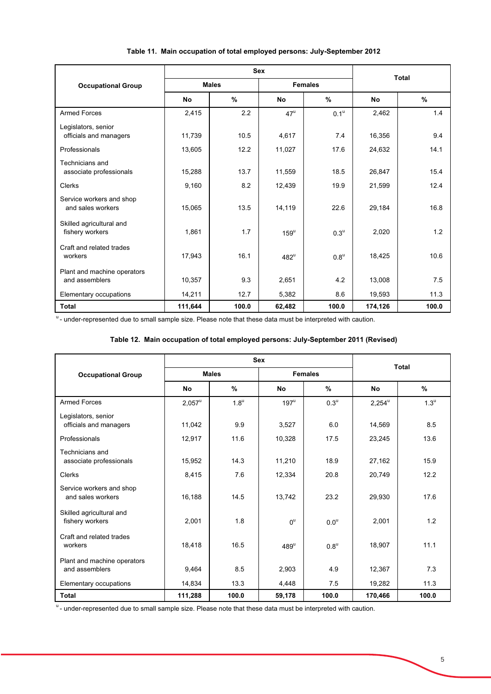|                                               |           | <b>Sex</b>   | <b>Total</b>       |                    |           |       |  |
|-----------------------------------------------|-----------|--------------|--------------------|--------------------|-----------|-------|--|
| <b>Occupational Group</b>                     |           | <b>Males</b> |                    | <b>Females</b>     |           |       |  |
|                                               | <b>No</b> | %            | No                 | $\%$               | <b>No</b> | %     |  |
| <b>Armed Forces</b>                           | 2,415     | 2.2          | $47^{\mathrm{u}}$  | 0.1 <sup>u</sup>   | 2,462     | 1.4   |  |
| Legislators, senior<br>officials and managers | 11,739    | 10.5         | 4,617              | 7.4                | 16,356    | 9.4   |  |
| Professionals                                 | 13,605    | 12.2         | 11,027             | 17.6               | 24,632    | 14.1  |  |
| Technicians and<br>associate professionals    | 15,288    | 13.7         | 11,559             | 18.5               | 26,847    | 15.4  |  |
| Clerks                                        | 9,160     | 8.2          | 12,439             | 19.9               | 21,599    | 12.4  |  |
| Service workers and shop<br>and sales workers | 15,065    | 13.5         | 14,119             | 22.6               | 29,184    | 16.8  |  |
| Skilled agricultural and<br>fishery workers   | 1,861     | 1.7          | $159^{\mathrm{u}}$ | $0.3^{\mathrm{u}}$ | 2,020     | 1.2   |  |
| Craft and related trades<br>workers           | 17,943    | 16.1         | $482^u$            | $0.8^{\mathrm{u}}$ | 18,425    | 10.6  |  |
| Plant and machine operators<br>and assemblers | 10,357    | 9.3          | 2,651              | 4.2                | 13,008    | 7.5   |  |
| Elementary occupations                        | 14,211    | 12.7         | 5,382              | 8.6                | 19,593    | 11.3  |  |
| <b>Total</b>                                  | 111,644   | 100.0        | 62,482             | 100.0              | 174,126   | 100.0 |  |

# **Table 11. Main occupation of total employed persons: July-September 2012**

" - under-represented due to small sample size. Please note that these data must be interpreted with caution.

# **Table 12. Main occupation of total employed persons: July-September 2011 (Revised)**

|                                               |              | <b>Sex</b>         | <b>Total</b>   |                    |                 |                    |  |
|-----------------------------------------------|--------------|--------------------|----------------|--------------------|-----------------|--------------------|--|
| <b>Occupational Group</b>                     | <b>Males</b> |                    |                | <b>Females</b>     |                 |                    |  |
|                                               | <b>No</b>    | $\%$               | No             | %                  | No              | %                  |  |
| <b>Armed Forces</b>                           | $2,057^u$    | $1.8^{\mathrm{u}}$ | $197^u$        | $0.3^{\mathrm{u}}$ | $2,254^{\circ}$ | $1.3^{\mathrm{u}}$ |  |
| Legislators, senior<br>officials and managers | 11,042       | 9.9                | 3,527          | 6.0                | 14,569          | 8.5                |  |
| Professionals                                 | 12,917       | 11.6               | 10,328         | 17.5               | 23,245          | 13.6               |  |
| Technicians and<br>associate professionals    | 15,952       | 14.3               | 11,210         | 18.9               | 27,162          | 15.9               |  |
| Clerks                                        | 8,415        | 7.6                | 12,334         | 20.8               | 20,749          | 12.2               |  |
| Service workers and shop<br>and sales workers | 16,188       | 14.5               | 13,742         | 23.2               | 29,930          | 17.6               |  |
| Skilled agricultural and<br>fishery workers   | 2,001        | 1.8                | $0^{\text{u}}$ | $0.0^{\mathrm{u}}$ | 2,001           | 1.2                |  |
| Craft and related trades<br>workers           | 18,418       | 16.5               | $489^u$        | $0.8^{\mathrm{u}}$ | 18,907          | 11.1               |  |
| Plant and machine operators<br>and assemblers | 9,464        | 8.5                | 2,903          | 4.9                | 12,367          | 7.3                |  |
| Elementary occupations                        | 14,834       | 13.3               | 4,448          | 7.5                | 19,282          | 11.3               |  |
| <b>Total</b>                                  | 111,288      | 100.0              | 59,178         | 100.0              | 170,466         | 100.0              |  |

<sup>u</sup> - under-represented due to small sample size. Please note that these data must be interpreted with caution.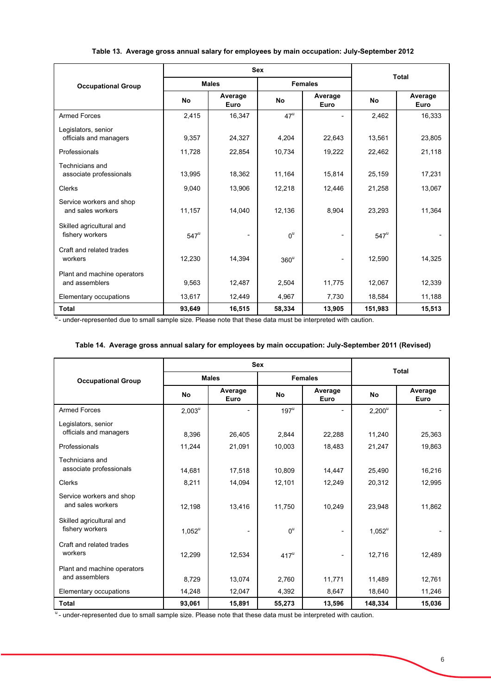|                                               |                    | <b>Sex</b>      | <b>Total</b>      |                 |               |                 |
|-----------------------------------------------|--------------------|-----------------|-------------------|-----------------|---------------|-----------------|
| <b>Occupational Group</b>                     |                    | <b>Males</b>    |                   | <b>Females</b>  |               |                 |
|                                               | <b>No</b>          | Average<br>Euro | <b>No</b>         | Average<br>Euro | <b>No</b>     | Average<br>Euro |
| <b>Armed Forces</b>                           | 2,415              | 16,347          | $47^{\mathrm{u}}$ |                 | 2,462         | 16,333          |
| Legislators, senior<br>officials and managers | 9,357              | 24,327          | 4,204             | 22,643          | 13,561        | 23,805          |
| Professionals                                 | 11,728             | 22,854          | 10,734            | 19,222          | 22,462        | 21,118          |
| Technicians and<br>associate professionals    | 13,995             | 18,362          | 11,164            | 15,814          | 25,159        | 17,231          |
| <b>Clerks</b>                                 | 9,040              | 13,906          | 12,218            | 12,446          | 21,258        | 13,067          |
| Service workers and shop<br>and sales workers | 11,157             | 14,040          | 12,136            | 8,904           | 23,293        | 11,364          |
| Skilled agricultural and<br>fishery workers   | $547^{\mathrm{u}}$ |                 | $0^{\text{u}}$    | -               | $547^{\circ}$ |                 |
| Craft and related trades<br>workers           | 12,230             | 14,394          | $360^{\circ}$     | ۰               | 12,590        | 14,325          |
| Plant and machine operators<br>and assemblers | 9,563              | 12,487          | 2,504             | 11,775          | 12,067        | 12,339          |
| Elementary occupations                        | 13,617             | 12,449          | 4,967             | 7,730           | 18,584        | 11,188          |
| <b>Total</b>                                  | 93,649             | 16,515          | 58,334            | 13,905          | 151,983       | 15,513          |

# **Table 13. Average gross annual salary for employees by main occupation: July-September 2012**

u<sub>-</sub> under-represented due to small sample size. Please note that these data must be interpreted with caution.

# **Table 14. Average gross annual salary for employees by main occupation: July-September 2011 (Revised)**

|                                               |           | <b>Sex</b>      | <b>Total</b>     |                 |           |                 |
|-----------------------------------------------|-----------|-----------------|------------------|-----------------|-----------|-----------------|
| <b>Occupational Group</b>                     |           | <b>Males</b>    |                  | <b>Females</b>  |           |                 |
|                                               | <b>No</b> | Average<br>Euro | <b>No</b>        | Average<br>Euro | <b>No</b> | Average<br>Euro |
| <b>Armed Forces</b>                           | $2,003^u$ |                 | $197^u$          |                 | $2,200^u$ |                 |
| Legislators, senior<br>officials and managers | 8,396     | 26,405          | 2,844            | 22,288          | 11,240    | 25,363          |
| Professionals                                 | 11,244    | 21,091          | 10,003           | 18,483          | 21,247    | 19,863          |
| Technicians and<br>associate professionals    | 14,681    | 17,518          | 10,809           | 14,447          | 25,490    | 16,216          |
| <b>Clerks</b>                                 | 8,211     | 14,094          | 12,101           | 12,249          | 20,312    | 12,995          |
| Service workers and shop<br>and sales workers | 12,198    | 13,416          | 11,750           | 10,249          | 23,948    | 11,862          |
| Skilled agricultural and<br>fishery workers   | $1,052^u$ |                 | $0^{\mathrm{u}}$ |                 | $1,052^u$ |                 |
| Craft and related trades<br>workers           | 12,299    | 12,534          | $417^u$          |                 | 12,716    | 12,489          |
| Plant and machine operators<br>and assemblers | 8,729     | 13,074          | 2,760            | 11,771          | 11,489    | 12,761          |
| Elementary occupations                        | 14,248    | 12,047          | 4,392            | 8,647           | 18,640    | 11,246          |
| <b>Total</b>                                  | 93,061    | 15,891          | 55,273           | 13,596          | 148,334   | 15,036          |

<sup>u</sup>- under-represented due to small sample size. Please note that these data must be interpreted with caution.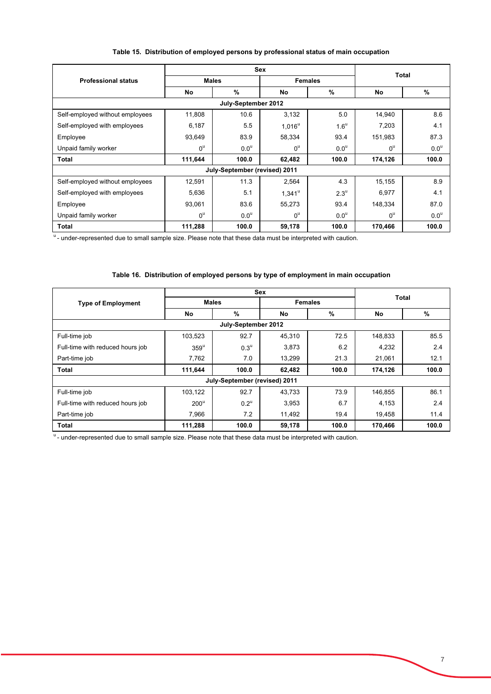|  |  |  |  | Table 15. Distribution of employed persons by professional status of main occupation |  |  |
|--|--|--|--|--------------------------------------------------------------------------------------|--|--|
|--|--|--|--|--------------------------------------------------------------------------------------|--|--|

|                                 |                  | <b>Sex</b>       | <b>Total</b>     |                    |                |                |  |  |  |
|---------------------------------|------------------|------------------|------------------|--------------------|----------------|----------------|--|--|--|
| <b>Professional status</b>      |                  | <b>Males</b>     |                  | <b>Females</b>     |                |                |  |  |  |
|                                 | No               | %                | No               | %                  | No             | %              |  |  |  |
| July-September 2012             |                  |                  |                  |                    |                |                |  |  |  |
| Self-employed without employees | 11,808           | 10.6             | 3,132            | 5.0                | 14,940         | 8.6            |  |  |  |
| Self-employed with employees    | 6,187            | 5.5              | $1,016^u$        | $1.6^{\mathrm{u}}$ | 7,203          | 4.1            |  |  |  |
| Employee                        | 93,649           | 83.9             | 58,334           | 93.4               | 151,983        | 87.3           |  |  |  |
| Unpaid family worker            | $0^{\mathrm{u}}$ | 0.0 <sup>u</sup> | $0^{\mathrm{u}}$ | 0.0 <sup>u</sup>   | $0^{\text{u}}$ | $0.0^\text{u}$ |  |  |  |
| Total                           | 111,644          | 100.0            | 62,482           | 100.0              | 174,126        | 100.0          |  |  |  |
| July-September (revised) 2011   |                  |                  |                  |                    |                |                |  |  |  |
| Self-employed without employees | 12,591           | 11.3             | 2,564            | 4.3                | 15,155         | 8.9            |  |  |  |
| Self-employed with employees    | 5,636            | 5.1              | $1,341^{\circ}$  | $2.3^{\mathrm{u}}$ | 6,977          | 4.1            |  |  |  |
| Employee                        | 93,061           | 83.6             | 55,273           | 93.4               | 148,334        | 87.0           |  |  |  |
| Unpaid family worker            | $0^{\text{u}}$   | 0.0 <sup>u</sup> | $0^{\mathrm{u}}$ | 0.0 <sup>u</sup>   | $0^{\text{u}}$ | $0.0^\text{u}$ |  |  |  |
| Total                           | 111,288          | 100.0            | 59,178           | 100.0              | 170,466        | 100.0          |  |  |  |

<sup>u</sup>- under-represented due to small sample size. Please note that these data must be interpreted with caution.

# **Table 16. Distribution of employed persons by type of employment in main occupation**

|                                  |               | <b>Sex</b>         |                |       |              |       |  |  |
|----------------------------------|---------------|--------------------|----------------|-------|--------------|-------|--|--|
| <b>Type of Employment</b>        | <b>Males</b>  |                    | <b>Females</b> |       | <b>Total</b> |       |  |  |
|                                  | No            | %                  | No             | %     | No           | %     |  |  |
| July-September 2012              |               |                    |                |       |              |       |  |  |
| Full-time job                    | 103,523       | 92.7               | 45,310         | 72.5  | 148,833      | 85.5  |  |  |
| Full-time with reduced hours job | $359^{\circ}$ | $0.3^{\mathrm{u}}$ | 3,873          | 6.2   | 4,232        | 2.4   |  |  |
| Part-time job                    | 7,762         | 7.0                | 13,299         | 21.3  | 21.061       | 12.1  |  |  |
| <b>Total</b>                     | 111,644       | 100.0              | 62,482         | 100.0 | 174,126      | 100.0 |  |  |
| July-September (revised) 2011    |               |                    |                |       |              |       |  |  |
| Full-time job                    | 103,122       | 92.7               | 43,733         | 73.9  | 146,855      | 86.1  |  |  |
| Full-time with reduced hours job | $200^u$       | $0.2^{\mathrm{u}}$ | 3,953          | 6.7   | 4,153        | 2.4   |  |  |
| Part-time job                    | 7,966         | 7.2                | 11,492         | 19.4  | 19,458       | 11.4  |  |  |
| <b>Total</b>                     | 111,288       | 100.0              | 59,178         | 100.0 | 170,466      | 100.0 |  |  |

u<br>"- under-represented due to small sample size. Please note that these data must be interpreted with caution.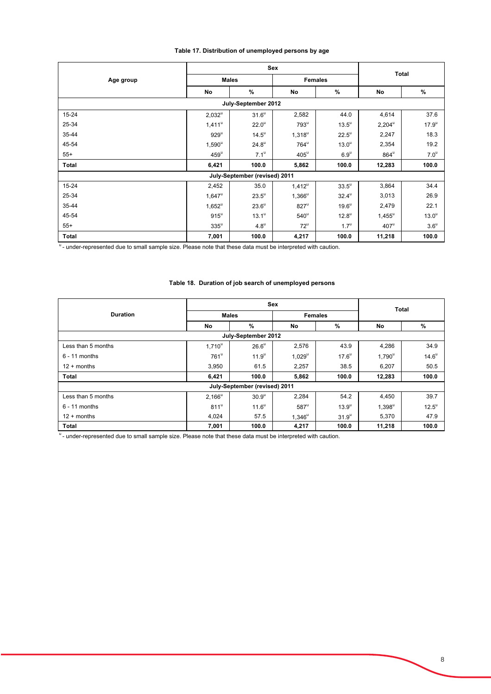# **Table 17. Distribution of unemployed persons by age**

|                               |                    | Sex                 |                    | <b>Total</b>        |                 |                  |  |  |  |
|-------------------------------|--------------------|---------------------|--------------------|---------------------|-----------------|------------------|--|--|--|
| Age group                     |                    | <b>Males</b>        | <b>Females</b>     |                     |                 |                  |  |  |  |
|                               | No                 | %                   | No                 | %                   | No              | %                |  |  |  |
| July-September 2012           |                    |                     |                    |                     |                 |                  |  |  |  |
| 15-24                         | $2,032^u$          | $31.6^{\circ}$      | 2,582              | 44.0                | 4,614           | 37.6             |  |  |  |
| 25-34                         | $1,411^\mathrm{u}$ | 22.0 <sup>u</sup>   | $793^{\mathrm{u}}$ | $13.5^{\circ}$      | $2,204^{\circ}$ | $17.9^{\circ}$   |  |  |  |
| 35-44                         | $929^u$            | $14.5^{\circ}$      | $1,318^u$          | $22.5^{\circ}$      | 2,247           | 18.3             |  |  |  |
| 45-54                         | $1,590^{\circ}$    | $24.8^{\mathrm{u}}$ | $764^{\mathrm{u}}$ | 13.0 <sup>u</sup>   | 2,354           | 19.2             |  |  |  |
| $55+$                         | $459^{\circ}$      | $7.1^{\circ}$       | $405^{\mathrm{u}}$ | $6.9^u$             | $864^u$         | 7.0 <sup>u</sup> |  |  |  |
| Total                         | 6,421              | 100.0               | 5,862              | 100.0               | 12,283          | 100.0            |  |  |  |
| July-September (revised) 2011 |                    |                     |                    |                     |                 |                  |  |  |  |
| 15-24                         | 2,452              | 35.0                | $1,412^u$          | $33.5^{\circ}$      | 3,864           | 34.4             |  |  |  |
| 25-34                         | $1,647^{\circ}$    | $23.5^{\mathrm{u}}$ | $1,366^u$          | $32.4^{\circ}$      | 3,013           | 26.9             |  |  |  |
| 35-44                         | $1,652^u$          | $23.6^u$            | $827^u$            | $19.6^{\mathrm{u}}$ | 2,479           | 22.1             |  |  |  |
| 45-54                         | $915^u$            | $13.1^{\circ}$      | $540^{\circ}$      | $12.8^{\mathrm{u}}$ | $1,455^{\circ}$ | $13.0^u$         |  |  |  |
| $55+$                         | $335^u$            | $4.8^{\mathrm{u}}$  | $72^{\mathrm{u}}$  | $1.7^{\mathrm{u}}$  | $407^u$         | $3.6^{\circ}$    |  |  |  |
| Total                         | 7,001              | 100.0               | 4,217              | 100.0               | 11,218          | 100.0            |  |  |  |

<sup>u</sup> - under-represented due to small sample size. Please note that these data must be interpreted with caution.

#### **Table 18. Duration of job search of unemployed persons**

|                               |                  | <b>Sex</b>          | <b>Total</b> |                   |           |                |  |  |
|-------------------------------|------------------|---------------------|--------------|-------------------|-----------|----------------|--|--|
| <b>Duration</b>               | <b>Males</b>     |                     |              | <b>Females</b>    |           |                |  |  |
|                               | No               | %                   | No           | %                 | No        | %              |  |  |
| July-September 2012           |                  |                     |              |                   |           |                |  |  |
| Less than 5 months            | $1,710^u$        | $26.6^{\mathrm{u}}$ | 2,576        | 43.9              | 4,286     | 34.9           |  |  |
| $6 - 11$ months               | $761^{\circ}$    | 11.9 <sup>u</sup>   | $1,029^u$    | $17.6^{\circ}$    | $1,790^u$ | $14.6^{\circ}$ |  |  |
| $12 +$ months                 | 3,950            | 61.5                | 2,257        | 38.5              | 6,207     | 50.5           |  |  |
| <b>Total</b>                  | 6,421            | 100.0               | 5,862        | 100.0             | 12,283    | 100.0          |  |  |
| July-September (revised) 2011 |                  |                     |              |                   |           |                |  |  |
| Less than 5 months            | $2,166^u$        | 30.9 <sup>u</sup>   | 2,284        | 54.2              | 4,450     | 39.7           |  |  |
| $6 - 11$ months               | 811 <sup>u</sup> | $11.6^{\circ}$      | $587^u$      | $13.9^{\circ}$    | $1,398^u$ | $12.5^{\circ}$ |  |  |
| $12 +$ months                 | 4,024            | 57.5                | $1.346^u$    | 31.9 <sup>u</sup> | 5,370     | 47.9           |  |  |
| <b>Total</b>                  | 7,001            | 100.0               | 4,217        | 100.0             | 11,218    | 100.0          |  |  |

u<br>u - under-represented due to small sample size. Please note that these data must be interpreted with caution.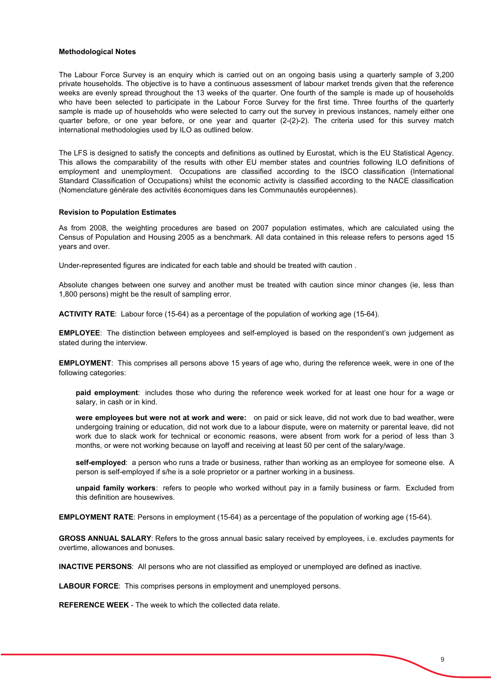#### **Methodological Notes**

The Labour Force Survey is an enquiry which is carried out on an ongoing basis using a quarterly sample of 3,200 private households. The objective is to have a continuous assessment of labour market trends given that the reference weeks are evenly spread throughout the 13 weeks of the quarter. One fourth of the sample is made up of households who have been selected to participate in the Labour Force Survey for the first time. Three fourths of the quarterly sample is made up of households who were selected to carry out the survey in previous instances, namely either one quarter before, or one year before, or one year and quarter (2-(2)-2). The criteria used for this survey match international methodologies used by ILO as outlined below.

The LFS is designed to satisfy the concepts and definitions as outlined by Eurostat, which is the EU Statistical Agency. This allows the comparability of the results with other EU member states and countries following ILO definitions of employment and unemployment. Occupations are classified according to the ISCO classification (International Standard Classification of Occupations) whilst the economic activity is classified according to the NACE classification (Nomenclature générale des activités économiques dans les Communautés européennes).

#### **Revision to Population Estimates**

As from 2008, the weighting procedures are based on 2007 population estimates, which are calculated using the Census of Population and Housing 2005 as a benchmark. All data contained in this release refers to persons aged 15 years and over.

Under-represented figures are indicated for each table and should be treated with caution .

Absolute changes between one survey and another must be treated with caution since minor changes (ie, less than 1,800 persons) might be the result of sampling error.

**ACTIVITY RATE**: Labour force (15-64) as a percentage of the population of working age (15-64).

**EMPLOYEE**: The distinction between employees and self-employed is based on the respondent's own judgement as stated during the interview.

**EMPLOYMENT**: This comprises all persons above 15 years of age who, during the reference week, were in one of the following categories:

 salary, in cash or in kind. **paid employment**: includes those who during the reference week worked for at least one hour for a wage or

**were employees but were not at work and were:** on paid or sick leave, did not work due to bad weather, were undergoing training or education, did not work due to a labour dispute, were on maternity or parental leave, did not work due to slack work for technical or economic reasons, were absent from work for a period of less than 3 months, or were not working because on layoff and receiving at least 50 per cent of the salary/wage.

i **self-employed**: a person who runs a trade or business, rather than working as an employee for someone else. A person is self-employed if s/he is a sole proprietor or a partner working in a business.

**unpaid family workers**: refers to people who worked without pay in a family business or farm. Excluded from this definition are housewives.

**EMPLOYMENT RATE**: Persons in employment (15-64) as a percentage of the population of working age (15-64).

**GROSS ANNUAL SALARY**: Refers to the gross annual basic salary received by employees, i.e. excludes payments for overtime, allowances and bonuses.

**INACTIVE PERSONS**: All persons who are not classified as employed or unemployed are defined as inactive.

**LABOUR FORCE**: This comprises persons in employment and unemployed persons.

**REFERENCE WEEK** - The week to which the collected data relate.